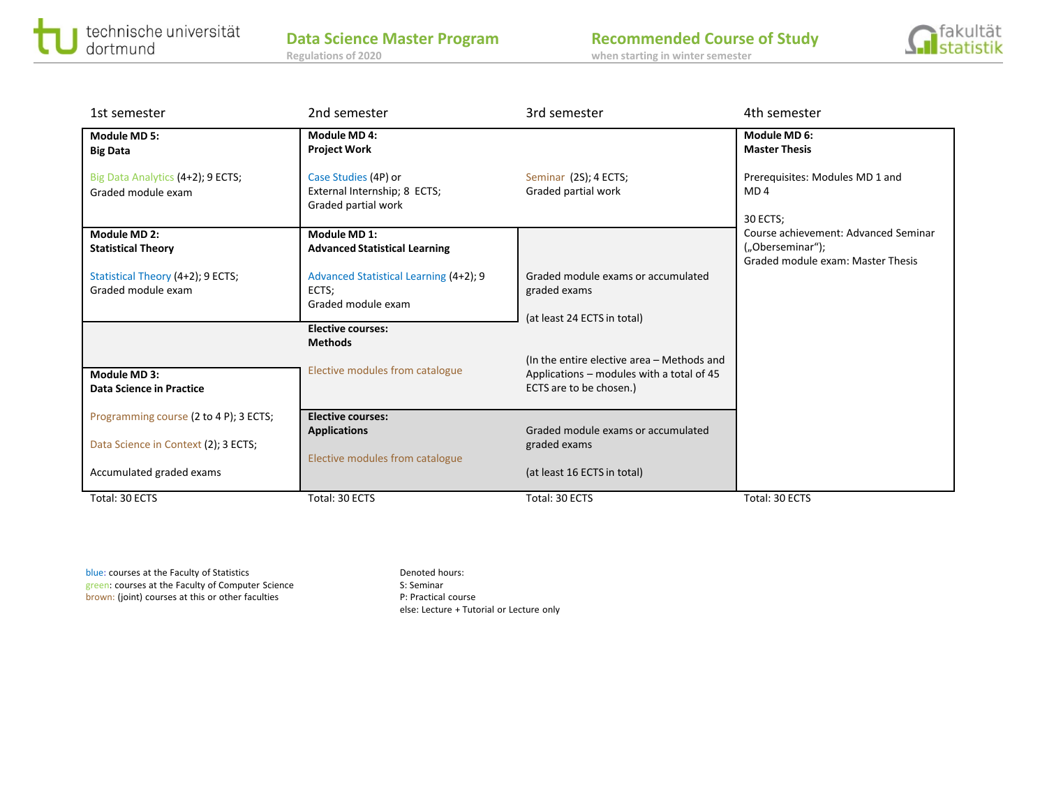

| 1st semester                                            | 2nd semester                                                                | 3rd semester                                                                                                       | 4th semester                                                                                  |
|---------------------------------------------------------|-----------------------------------------------------------------------------|--------------------------------------------------------------------------------------------------------------------|-----------------------------------------------------------------------------------------------|
| <b>Module MD 5:</b><br><b>Big Data</b>                  | Module MD 4:<br><b>Project Work</b>                                         |                                                                                                                    | Module MD 6:<br><b>Master Thesis</b>                                                          |
| Big Data Analytics (4+2); 9 ECTS;<br>Graded module exam | Case Studies (4P) or<br>External Internship; 8 ECTS;<br>Graded partial work | Seminar (2S); 4 ECTS;<br>Graded partial work                                                                       | Prerequisites: Modules MD 1 and<br>MD <sub>4</sub><br>30 ECTS:                                |
| Module MD 2:<br><b>Statistical Theory</b>               | Module MD 1:<br><b>Advanced Statistical Learning</b>                        |                                                                                                                    | Course achievement: Advanced Seminar<br>("Oberseminar");<br>Graded module exam: Master Thesis |
| Statistical Theory (4+2); 9 ECTS;<br>Graded module exam | Advanced Statistical Learning (4+2); 9<br>ECTS:<br>Graded module exam       | Graded module exams or accumulated<br>graded exams<br>(at least 24 ECTS in total)                                  |                                                                                               |
|                                                         | <b>Elective courses:</b><br><b>Methods</b>                                  |                                                                                                                    |                                                                                               |
| Module MD 3:<br><b>Data Science in Practice</b>         | Elective modules from catalogue                                             | (In the entire elective area - Methods and<br>Applications - modules with a total of 45<br>ECTS are to be chosen.) |                                                                                               |
| Programming course (2 to 4 P); 3 ECTS;                  | <b>Elective courses:</b><br><b>Applications</b>                             | Graded module exams or accumulated                                                                                 |                                                                                               |
| Data Science in Context (2); 3 ECTS;                    | Elective modules from catalogue                                             | graded exams                                                                                                       |                                                                                               |
| Accumulated graded exams                                |                                                                             | (at least 16 ECTS in total)                                                                                        |                                                                                               |
| Total: 30 ECTS                                          | Total: 30 ECTS                                                              | Total: 30 ECTS                                                                                                     | Total: 30 ECTS                                                                                |

blue: courses at the Faculty of Statistics Denoted hours: green: courses at the Faculty of Computer Science S: Seminar brown: (joint) courses at this or other faculties P: Practical course

else: Lecture + Tutorial or Lecture only